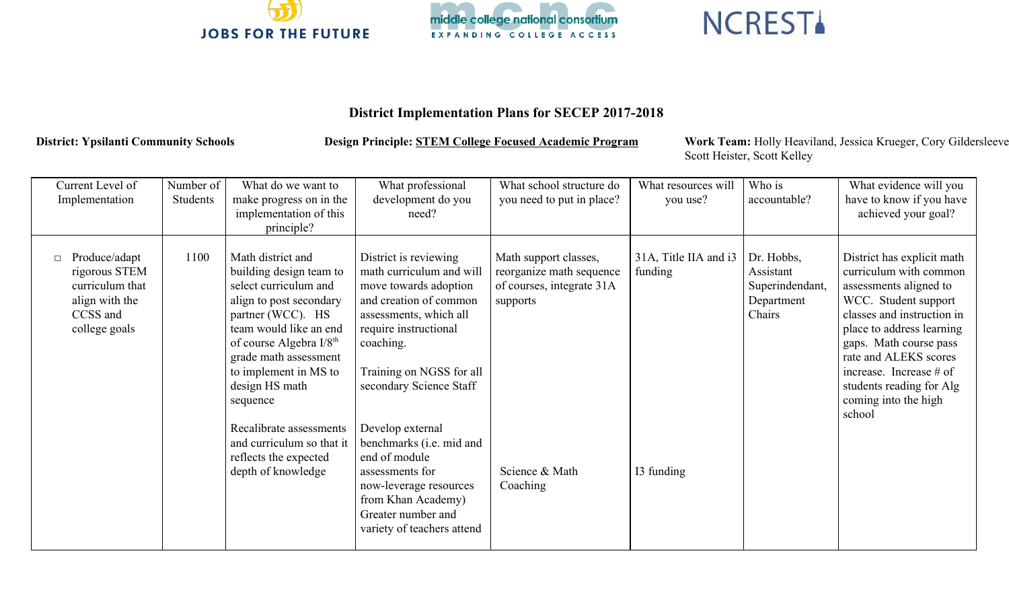



## **NCREST**

## **District Implementation Plans for SECEP 2017-2018**

District: Ypsilanti Community Schools **Design Principle: STEM College Focused Academic Program** Work Team: Holly Heaviland, Jessica Krueger, Cory Gildersleeve Scott Heister, Scott Kelley

| Current Level of<br>Implementation                                                               | Number of<br>Students | What do we want to<br>make progress on in the<br>implementation of this<br>principle?                                                                                                                                                                        | What professional<br>development do you<br>need?                                                                                                                                                                            | What school structure do<br>you need to put in place?                                      | What resources will<br>you use?  | Who is<br>accountable?                                             | What evidence will you<br>have to know if you have<br>achieved your goal?                                                                                                                                                                                                                                       |
|--------------------------------------------------------------------------------------------------|-----------------------|--------------------------------------------------------------------------------------------------------------------------------------------------------------------------------------------------------------------------------------------------------------|-----------------------------------------------------------------------------------------------------------------------------------------------------------------------------------------------------------------------------|--------------------------------------------------------------------------------------------|----------------------------------|--------------------------------------------------------------------|-----------------------------------------------------------------------------------------------------------------------------------------------------------------------------------------------------------------------------------------------------------------------------------------------------------------|
| Produce/adapt<br>rigorous STEM<br>curriculum that<br>align with the<br>CCSS and<br>college goals | 1100                  | Math district and<br>building design team to<br>select curriculum and<br>align to post secondary<br>partner (WCC). HS<br>team would like an end<br>of course Algebra $I/8th$<br>grade math assessment<br>to implement in MS to<br>design HS math<br>sequence | District is reviewing<br>math curriculum and will<br>move towards adoption<br>and creation of common<br>assessments, which all<br>require instructional<br>coaching.<br>Training on NGSS for all<br>secondary Science Staff | Math support classes,<br>reorganize math sequence<br>of courses, integrate 31A<br>supports | 31A, Title IIA and i3<br>funding | Dr. Hobbs,<br>Assistant<br>Superindendant,<br>Department<br>Chairs | District has explicit math<br>curriculum with common<br>assessments aligned to<br>WCC. Student support<br>classes and instruction in<br>place to address learning<br>gaps. Math course pass<br>rate and ALEKS scores<br>increase. Increase $#$ of<br>students reading for Alg<br>coming into the high<br>school |
|                                                                                                  |                       | Recalibrate assessments<br>and curriculum so that it<br>reflects the expected<br>depth of knowledge                                                                                                                                                          | Develop external<br>benchmarks (i.e. mid and<br>end of module<br>assessments for<br>now-leverage resources<br>from Khan Academy)<br>Greater number and<br>variety of teachers attend                                        | Science & Math<br>Coaching                                                                 | I3 funding                       |                                                                    |                                                                                                                                                                                                                                                                                                                 |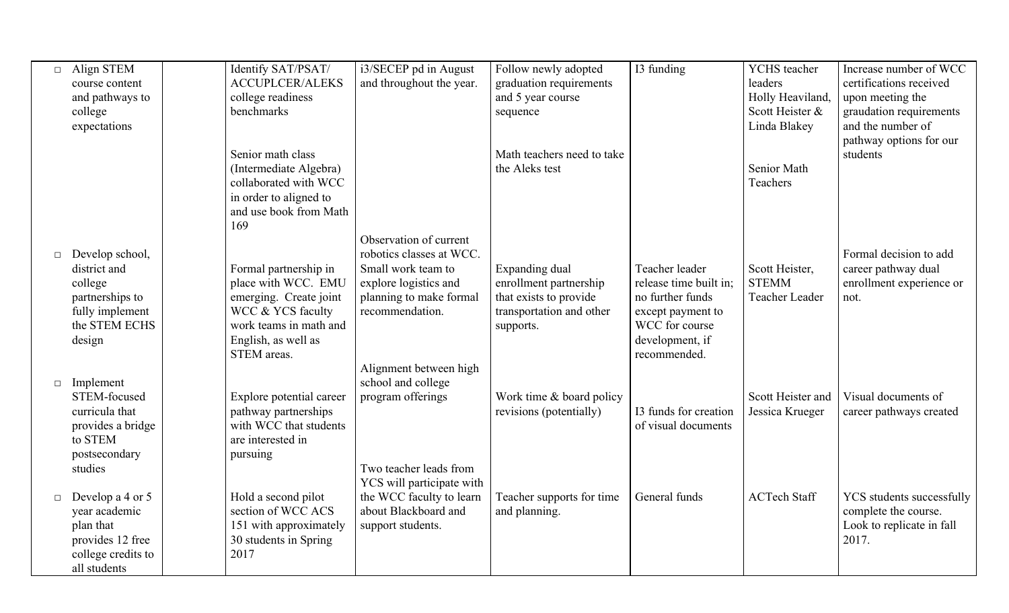| $\Box$ | Align STEM         | Identify SAT/PSAT/       | i3/SECEP pd in August                            | Follow newly adopted       | I3 funding             | YCHS teacher        | Increase number of WCC    |
|--------|--------------------|--------------------------|--------------------------------------------------|----------------------------|------------------------|---------------------|---------------------------|
|        | course content     | <b>ACCUPLCER/ALEKS</b>   | and throughout the year.                         | graduation requirements    |                        | leaders             | certifications received   |
|        | and pathways to    | college readiness        |                                                  | and 5 year course          |                        | Holly Heaviland     | upon meeting the          |
|        | college            | benchmarks               |                                                  | sequence                   |                        | Scott Heister &     | graudation requirements   |
|        | expectations       |                          |                                                  |                            |                        | Linda Blakey        | and the number of         |
|        |                    |                          |                                                  |                            |                        |                     | pathway options for our   |
|        |                    | Senior math class        |                                                  | Math teachers need to take |                        |                     | students                  |
|        |                    | (Intermediate Algebra)   |                                                  | the Aleks test             |                        | Senior Math         |                           |
|        |                    | collaborated with WCC    |                                                  |                            |                        | Teachers            |                           |
|        |                    | in order to aligned to   |                                                  |                            |                        |                     |                           |
|        |                    | and use book from Math   |                                                  |                            |                        |                     |                           |
|        |                    | 169                      |                                                  |                            |                        |                     |                           |
|        |                    |                          | Observation of current                           |                            |                        |                     |                           |
| $\Box$ | Develop school,    |                          | robotics classes at WCC.                         |                            |                        |                     | Formal decision to add    |
|        | district and       | Formal partnership in    | Small work team to                               | Expanding dual             | Teacher leader         | Scott Heister,      | career pathway dual       |
|        | college            | place with WCC. EMU      | explore logistics and                            | enrollment partnership     | release time built in: | <b>STEMM</b>        | enrollment experience or  |
|        | partnerships to    | emerging. Create joint   | planning to make formal                          | that exists to provide     | no further funds       | Teacher Leader      | not.                      |
|        | fully implement    | WCC & YCS faculty        | recommendation.                                  | transportation and other   | except payment to      |                     |                           |
|        | the STEM ECHS      | work teams in math and   |                                                  | supports.                  | WCC for course         |                     |                           |
|        | design             | English, as well as      |                                                  |                            | development, if        |                     |                           |
|        |                    | STEM areas.              |                                                  |                            | recommended.           |                     |                           |
|        |                    |                          | Alignment between high                           |                            |                        |                     |                           |
| $\Box$ | Implement          |                          | school and college                               |                            |                        |                     |                           |
|        | STEM-focused       | Explore potential career | program offerings                                | Work time & board policy   |                        | Scott Heister and   | Visual documents of       |
|        | curricula that     | pathway partnerships     |                                                  | revisions (potentially)    | 13 funds for creation  | Jessica Krueger     | career pathways created   |
|        | provides a bridge  | with WCC that students   |                                                  |                            | of visual documents    |                     |                           |
|        | to STEM            | are interested in        |                                                  |                            |                        |                     |                           |
|        | postsecondary      | pursuing                 |                                                  |                            |                        |                     |                           |
|        | studies            |                          | Two teacher leads from                           |                            |                        |                     |                           |
|        |                    |                          | YCS will participate with                        |                            |                        |                     |                           |
| $\Box$ | Develop a 4 or 5   | Hold a second pilot      | the WCC faculty to learn<br>about Blackboard and | Teacher supports for time  | General funds          | <b>ACTech Staff</b> | YCS students successfully |
|        | year academic      | section of WCC ACS       |                                                  | and planning.              |                        |                     | complete the course.      |
|        | plan that          | 151 with approximately   | support students.                                |                            |                        |                     | Look to replicate in fall |
|        | provides 12 free   | 30 students in Spring    |                                                  |                            |                        |                     | 2017.                     |
|        | college credits to | 2017                     |                                                  |                            |                        |                     |                           |
|        | all students       |                          |                                                  |                            |                        |                     |                           |